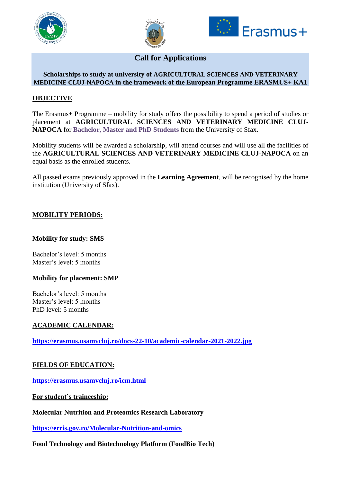





**Call for Applications**

#### **Scholarships to study at university of AGRICULTURAL SCIENCES AND VETERINARY MEDICINE CLUJ-NAPOCA in the framework of the European Programme ERASMUS+ KA1**

### **OBJECTIVE**

The Erasmus+ Programme – mobility for study offers the possibility to spend a period of studies or placement at **AGRICULTURAL SCIENCES AND VETERINARY MEDICINE CLUJ-NAPOCA** for **Bachelor, Master and PhD Students** from the University of Sfax.

Mobility students will be awarded a scholarship, will attend courses and will use all the facilities of the **AGRICULTURAL SCIENCES AND VETERINARY MEDICINE CLUJ-NAPOCA** on an equal basis as the enrolled students.

All passed exams previously approved in the **Learning Agreement**, will be recognised by the home institution (University of Sfax).

# **MOBILITY PERIODS:**

### **Mobility for study: SMS**

Bachelor's level: 5 months Master's level: 5 months

### **Mobility for placement: SMP**

Bachelor's level: 5 months Master's level: 5 months PhD level: 5 months

### **ACADEMIC CALENDAR:**

**<https://erasmus.usamvcluj.ro/docs-22-10/academic-calendar-2021-2022.jpg>**

### **FIELDS OF EDUCATION:**

**<https://erasmus.usamvcluj.ro/icm.html>**

**For student's traineeship:**

**Molecular Nutrition and Proteomics Research Laboratory**

**<https://erris.gov.ro/Molecular-Nutrition-and-omics>**

**Food Technology and Biotechnology Platform (FoodBio Tech)**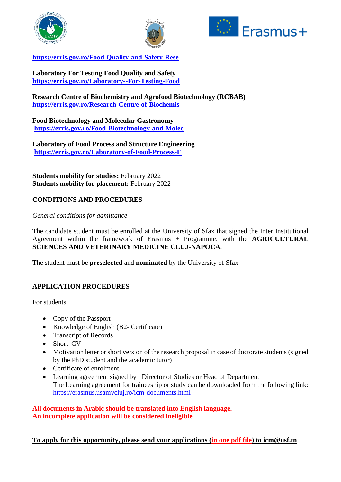





**<https://erris.gov.ro/Food-Quality-and-Safety-Rese>**

**Laboratory For Testing Food Quality and Safety <https://erris.gov.ro/Laboratory--For-Testing-Food>**

**Research Centre of Biochemistry and Agrofood Biotechnology (RCBAB) <https://erris.gov.ro/Research-Centre-of-Biochemis>**

**Food Biotechnology and Molecular Gastronomy <https://erris.gov.ro/Food-Biotechnology-and-Molec>**

**Laboratory of Food Process and Structure Engineering <https://erris.gov.ro/Laboratory-of-Food-Process-E>**

**Students mobility for studies:** February 2022 **Students mobility for placement:** February 2022

# **CONDITIONS AND PROCEDURES**

*General conditions for admittance*

The candidate student must be enrolled at the University of Sfax that signed the Inter Institutional Agreement within the framework of Erasmus + Programme, with the **AGRICULTURAL SCIENCES AND VETERINARY MEDICINE CLUJ-NAPOCA**.

The student must be **preselected** and **nominated** by the University of Sfax

### **APPLICATION PROCEDURES**

For students:

- Copy of the Passport
- Knowledge of English (B2- Certificate)
- Transcript of Records
- Short CV
- Motivation letter or short version of the research proposal in case of doctorate students (signed by the PhD student and the academic tutor)
- Certificate of enrolment
- Learning agreement signed by : Director of Studies or Head of Department The Learning agreement for traineeship or study can be downloaded from the following link: <https://erasmus.usamvcluj.ro/icm-documents.html>

**All documents in Arabic should be translated into English language. An incomplete application will be considered ineligible**

**To apply for this opportunity, please send your applications (in one pdf file) to icm@usf.tn**